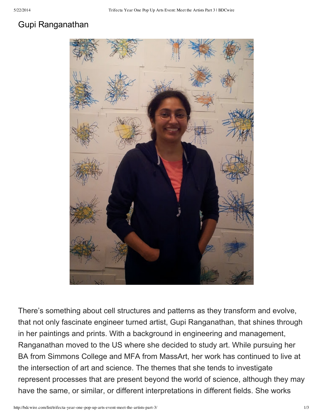## Gupi Ranganathan



There's something about cell structures and patterns as they transform and evolve, that not only fascinate engineer turned artist, Gupi Ranganathan, that shines through in her paintings and prints. With a background in engineering and management, Ranganathan moved to the US where she decided to study art. While pursuing her BA from Simmons College and MFA from MassArt, her work has continued to live at the intersection of art and science. The themes that she tends to investigate represent processes that are present beyond the world of science, although they may have the same, or similar, or different interpretations in different fields. She works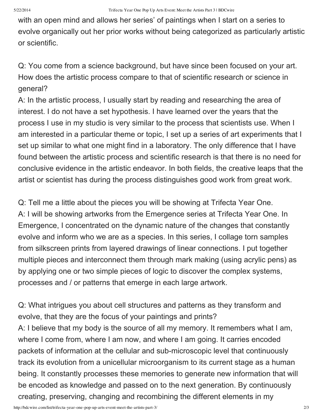with an open mind and allows her series' of paintings when I start on a series to evolve organically out her prior works without being categorized as particularly artistic or scientific.

Q: You come from a science background, but have since been focused on your art. How does the artistic process compare to that of scientific research or science in general?

A: In the artistic process, I usually start by reading and researching the area of interest. I do not have a set hypothesis. I have learned over the years that the process I use in my studio is very similar to the process that scientists use. When I am interested in a particular theme or topic, I set up a series of art experiments that I set up similar to what one might find in a laboratory. The only difference that I have found between the artistic process and scientific research is that there is no need for conclusive evidence in the artistic endeavor. In both fields, the creative leaps that the artist or scientist has during the process distinguishes good work from great work.

Q: Tell me a little about the pieces you will be showing at Trifecta Year One. A: I will be showing artworks from the Emergence series at Trifecta Year One. In Emergence, I concentrated on the dynamic nature of the changes that constantly evolve and inform who we are as a species. In this series, I collage torn samples from silkscreen prints from layered drawings of linear connections. I put together multiple pieces and interconnect them through mark making (using acrylic pens) as by applying one or two simple pieces of logic to discover the complex systems, processes and / or patterns that emerge in each large artwork.

Q: What intrigues you about cell structures and patterns as they transform and evolve, that they are the focus of your paintings and prints?

A: I believe that my body is the source of all my memory. It remembers what I am, where I come from, where I am now, and where I am going. It carries encoded packets of information at the cellular and sub-microscopic level that continuously track its evolution from a unicellular microorganism to its current stage as a human being. It constantly processes these memories to generate new information that will be encoded as knowledge and passed on to the next generation. By continuously creating, preserving, changing and recombining the different elements in my